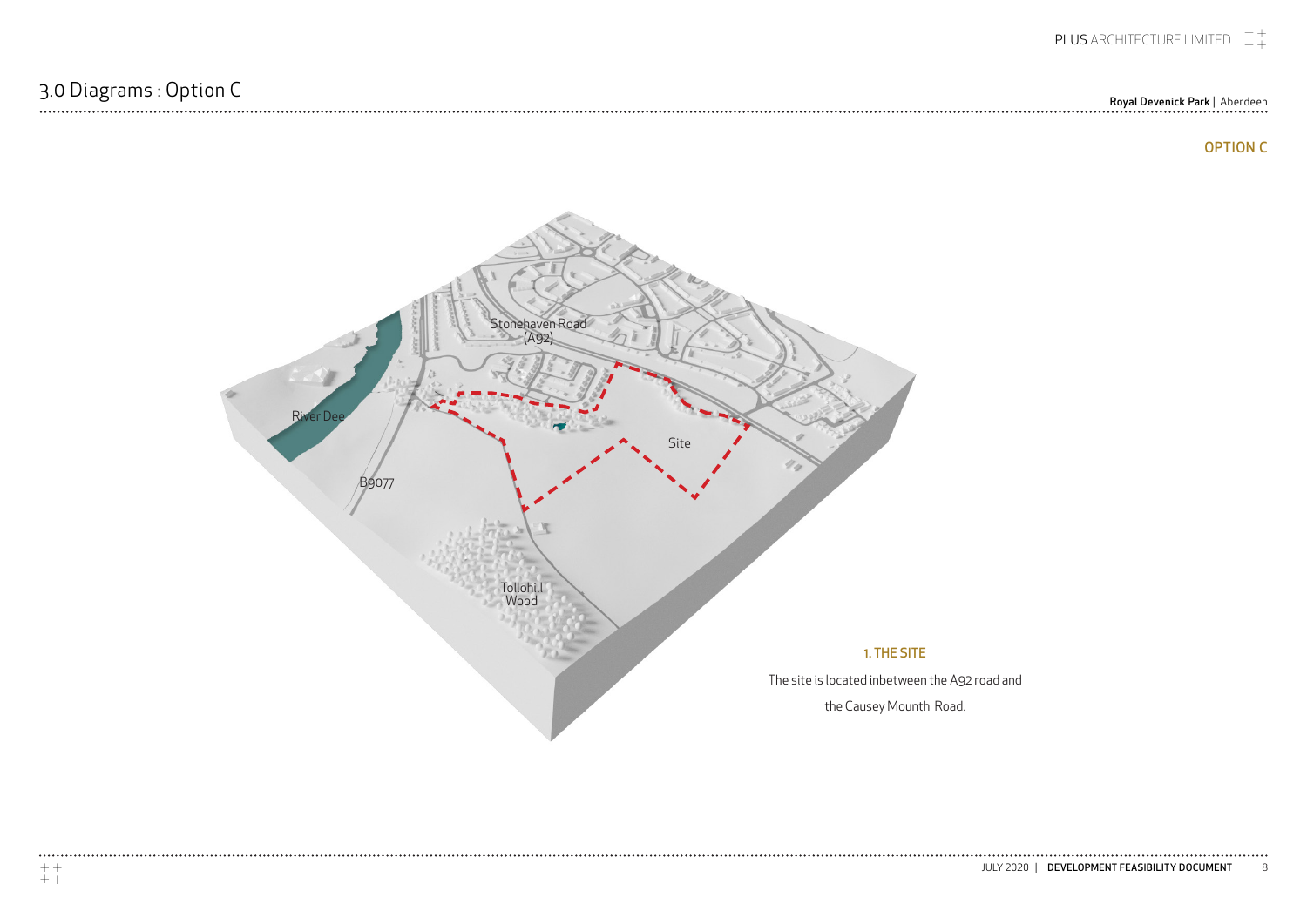$\begin{array}{cccccccccccccc} \bullet & \bullet & \bullet & \bullet & \bullet & \bullet & \bullet & \bullet & \bullet & \bullet & \bullet \end{array}$ 

# Royal Devenick Park | Aberdeen 3.0 Diagrams : Option C

### OPTION C

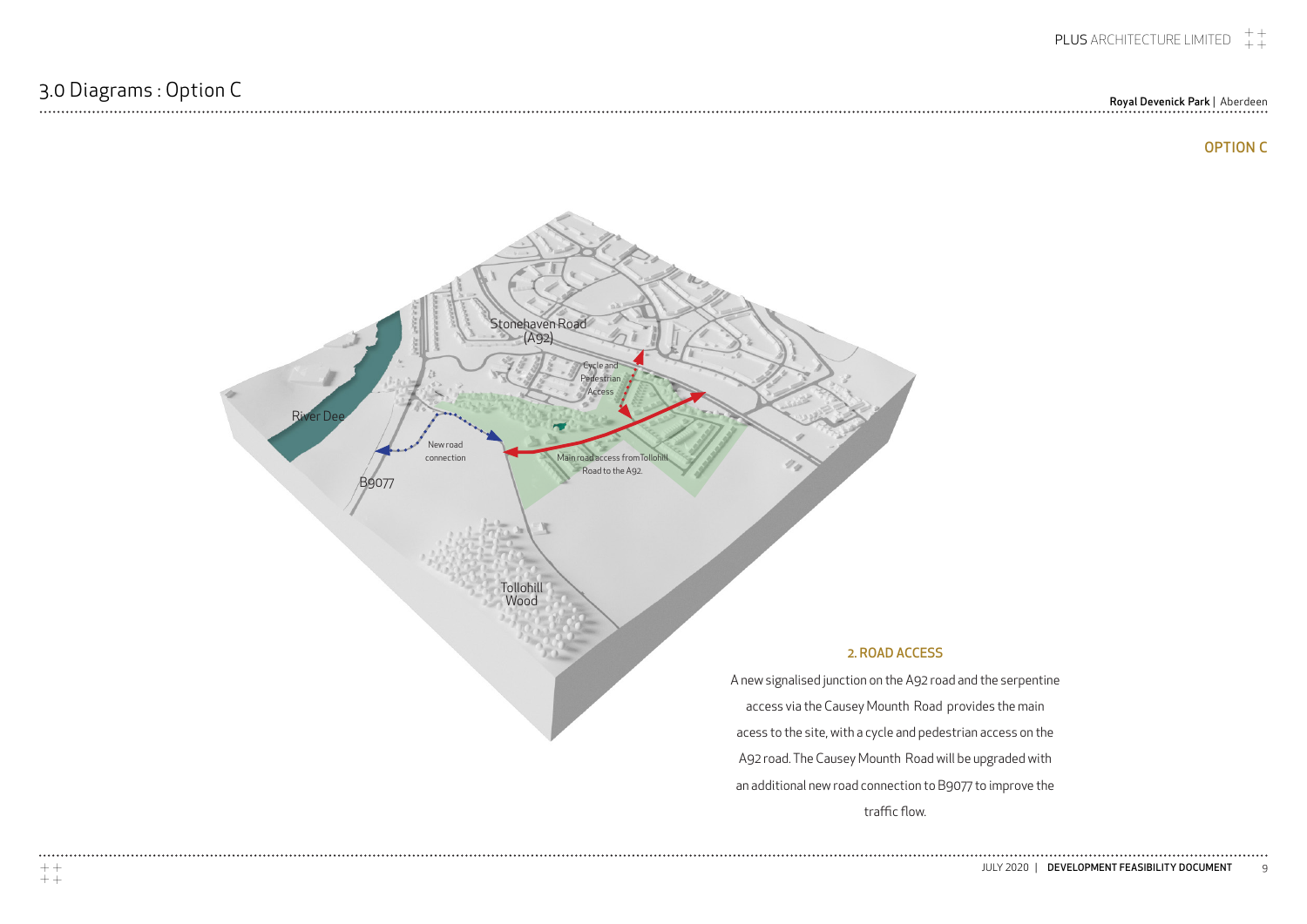## Royal Devenick Park | Aberdeen



 $\ddotsc$ 

## OPTION C